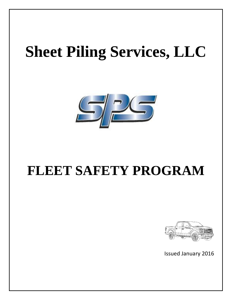# **Sheet Piling Services, LLC**



## **FLEET SAFETY PROGRAM**



Issued January 2016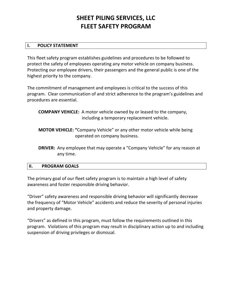### **SHEET PILING SERVICES, LLC FLEET SAFETY PROGRAM**

#### **I. POLICY STATEMENT**

This fleet safety program establishes guidelines and procedures to be followed to protect the safety of employees operating any motor vehicle on company business. Protecting our employee drivers, their passengers and the general public is one of the highest priority to the company.

The commitment of management and employees is critical to the success of this program. Clear communication of and strict adherence to the program's guidelines and procedures are essential.

 **COMPANY VEHICLE:** A motor vehicle owned by or leased to the company, including a temporary replacement vehicle.

 **MOTOR VEHICLE: "**Company Vehicle" or any other motor vehicle while being operated on company business.

 **DRIVER:** Any employee that may operate a "Company Vehicle" for any reason at any time.

#### **II. PROGRAM GOALS**

The primary goal of our fleet safety program is to maintain a high level of safety awareness and foster responsible driving behavior.

"Driver" safety awareness and responsible driving behavior will significantly decrease the frequency of "Motor Vehicle" accidents and reduce the severity of personal injuries and property damage.

"Drivers" as defined in this program, must follow the requirements outlined in this program. Violations of this program may result in disciplinary action up to and including suspension of driving privileges or dismissal.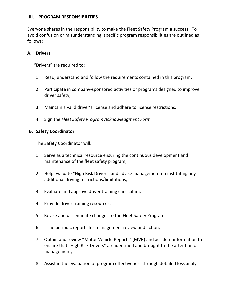#### **III. PROGRAM RESPONSIBILITIES**

Everyone shares in the responsibility to make the Fleet Safety Program a success. To avoid confusion or misunderstanding, specific program responsibilities are outlined as follows:

#### **A. Drivers**

"Drivers" are required to:

- 1. Read, understand and follow the requirements contained in this program;
- 2. Participate in company-sponsored activities or programs designed to improve driver safety;
- 3. Maintain a valid driver's license and adhere to license restrictions;
- 4. Sign the *Fleet Safety Program Acknowledgment Form*

#### **B. Safety Coordinator**

The Safety Coordinator will:

- 1. Serve as a technical resource ensuring the continuous development and maintenance of the fleet safety program;
- 2. Help evaluate "High Risk Drivers: and advise management on instituting any additional driving restrictions/limitations;
- 3. Evaluate and approve driver training curriculum;
- 4. Provide driver training resources;
- 5. Revise and disseminate changes to the Fleet Safety Program;
- 6. Issue periodic reports for management review and action;
- 7. Obtain and review "Motor Vehicle Reports" (MVR) and accident information to ensure that "High Risk Drivers" are identified and brought to the attention of management;
- 8. Assist in the evaluation of program effectiveness through detailed loss analysis.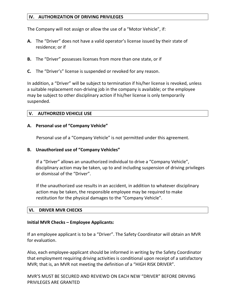#### **IV. AUTHORIZATION OF DRIVING PRIVILEGES**

The Company will not assign or allow the use of a "Motor Vehicle", if:

- **A.** The "Driver" does not have a valid operator's license issued by their state of residence; or if
- **B.** The "Driver" possesses licenses from more than one state, or if
- **C.** The "Driver's" license is suspended or revoked for any reason.

In addition, a "Driver" will be subject to termination if his/her license is revoked, unless a suitable replacement non-driving job in the company is available; or the employee may be subject to other disciplinary action if his/her license is only temporarily suspended.

#### **V. AUTHORIZED VEHICLE USE**

#### **A. Personal use of "Company Vehicle"**

Personal use of a "Company Vehicle" is not permitted under this agreement.

#### **B. Unauthorized use of "Company Vehicles"**

If a "Driver" allows an unauthorized individual to drive a "Company Vehicle", disciplinary action may be taken, up to and including suspension of driving privileges or dismissal of the "Driver".

 If the unauthorized use results in an accident, in addition to whatever disciplinary action may be taken, the responsible employee may be required to make restitution for the physical damages to the "Company Vehicle".

#### **VI. DRIVER MVR CHECKS**

#### **Initial MVR Checks – Employee Applicants:**

If an employee applicant is to be a "Driver". The Safety Coordinator will obtain an MVR for evaluation.

Also, each employee-applicant should be informed in writing by the Safety Coordinator that employment requiring driving activities is conditional upon receipt of a satisfactory MVR; that is, an MVR not meeting the definition of a "HIGH RISK DRIVER".

MVR'S MUST BE SECURED AND REVIEWD ON EACH NEW "DRIVER" BEFORE DRIVING PRIVILEGES ARE GRANTED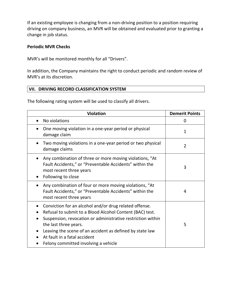If an existing employee is changing from a non-driving position to a position requiring driving on company business, an MVR will be obtained and evaluated prior to granting a change in job status.

#### **Periodic MVR Checks**

MVR's will be monitored monthly for all "Drivers".

In addition, the Company maintains the right to conduct periodic and random review of MVR's at its discretion.

#### **VII. DRIVING RECORD CLASSIFICATION SYSTEM**

The following rating system will be used to classify all drivers.

| <b>Violation</b>                                                                                                                                                                                                                                                                                                                               | <b>Demerit Points</b> |
|------------------------------------------------------------------------------------------------------------------------------------------------------------------------------------------------------------------------------------------------------------------------------------------------------------------------------------------------|-----------------------|
| No violations                                                                                                                                                                                                                                                                                                                                  | 0                     |
| One moving violation in a one-year period or physical<br>damage claim                                                                                                                                                                                                                                                                          | $\mathbf{1}$          |
| Two moving violations in a one-year period or two physical<br>damage claims                                                                                                                                                                                                                                                                    | $\overline{2}$        |
| Any combination of three or more moving violations, "At<br>Fault Accidents," or "Preventable Accidents" within the<br>most recent three years<br>Following to close                                                                                                                                                                            | 3                     |
| Any combination of four or more moving violations, "At<br>Fault Accidents," or "Preventable Accidents" within the<br>most recent three years                                                                                                                                                                                                   | 4                     |
| Conviction for an alcohol and/or drug related offense.<br>Refusal to submit to a Blood Alcohol Content (BAC) test.<br>Suspension, revocation or administrative restriction within<br>the last three years.<br>Leaving the scene of an accident as defined by state law<br>At fault in a fatal accident<br>Felony committed involving a vehicle | 5                     |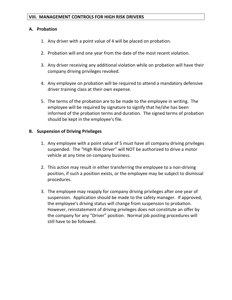#### **VIII. MANAGEMENT CONTROLS FOR HIGH RISK DRIVERS**

#### **A. Probation**

- 1. Any driver with a point value of 4 will be placed on probation.
- 2. Probation will end one year from the date of the most recent violation.
- 3. Any driver receiving any additional violation while on probation will have their company driving privileges revoked.
- 4. Any employee on probation will be required to attend a mandatory defensive driver training class at their own expense.
- 5. The terms of the probation are to be made to the employee in writing. The employee will be required by signature to signify that he/she has been informed of the probation terms and duration. The signed terms of probation should be kept in the employee's file.

#### **B. Suspension of Driving Privileges**

- 1. Any employee with a point value of 5 must have all company driving privileges suspended. The "High Risk Driver" will NOT be authorized to drive a motor vehicle at any time on company business.
- 2. This action may result in either transferring the employee to a non-driving position, if such a position exists, or the employee may be subject to dismissal procedures.
- 3. The employee may reapply for company driving privileges after one year of suspension. Application should be made to the safety manager. If approved, the employee's driving status will change from suspension to probation. However, reinstatement of driving privileges does not constitute an offer by the company for any "Driver" position. Normal job posting procedures will still have to be followed.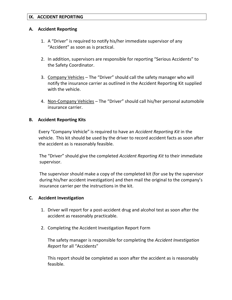#### **IX. ACCIDENT REPORTING**

#### **A. Accident Reporting**

- 1. A "Driver" is required to notify his/her immediate supervisor of any "Accident" as soon as is practical.
- 2. In addition, supervisors are responsible for reporting "Serious Accidents" to the Safety Coordinator.
- 3. Company Vehicles The "Driver" should call the safety manager who will notify the insurance carrier as outlined in the Accident Reporting Kit supplied with the vehicle.
- 4. Non-Company Vehicles The "Driver" should call his/her personal automobile insurance carrier.

#### **B. Accident Reporting Kits**

Every "Company Vehicle" is required to have an *Accident Reporting Kit* in the vehicle. This kit should be used by the driver to record accident facts as soon after the accident as is reasonably feasible.

The "Driver" should give the completed *Accident Reporting Kit* to their immediate supervisor.

 The supervisor should make a copy of the completed kit (for use by the supervisor during his/her accident investigation) and then mail the original to the company's insurance carrier per the instructions in the kit.

#### **C. Accident Investigation**

- 1. Driver will report for a post-accident drug and alcohol test as soon after the accident as reasonably practicable.
- 2. Completing the Accident Investigation Report Form

The safety manager is responsible for completing the *Accident Investigation Report* for all "Accidents"

This report should be completed as soon after the accident as is reasonably feasible.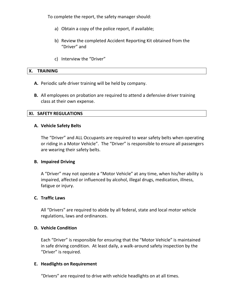To complete the report, the safety manager should:

- a) Obtain a copy of the police report, if available;
- b) Review the completed Accident Reporting Kit obtained from the "Driver" and
- c) Interview the "Driver"

#### **X. TRAINING**

- **A.** Periodic safe driver training will be held by company.
- **B.** All employees on probation are required to attend a defensive driver training class at their own expense.

#### **XI. SAFETY REGULATIONS**

#### **A. Vehicle Safety Belts**

The "Driver" and ALL Occupants are required to wear safety belts when operating or riding in a Motor Vehicle". The "Driver" is responsible to ensure all passengers are wearing their safety belts.

#### **B. Impaired Driving**

A "Driver" may not operate a "Motor Vehicle" at any time, when his/her ability is impaired, affected or influenced by alcohol, illegal drugs, medication, illness, fatigue or injury.

#### **C. Traffic Laws**

All "Drivers" are required to abide by all federal, state and local motor vehicle regulations, laws and ordinances.

#### **D. Vehicle Condition**

Each "Driver" is responsible for ensuring that the "Motor Vehicle" is maintained in safe driving condition. At least daily, a walk-around safety inspection by the "Driver" is required.

#### **E. Headlights on Requirement**

"Drivers" are required to drive with vehicle headlights on at all times.